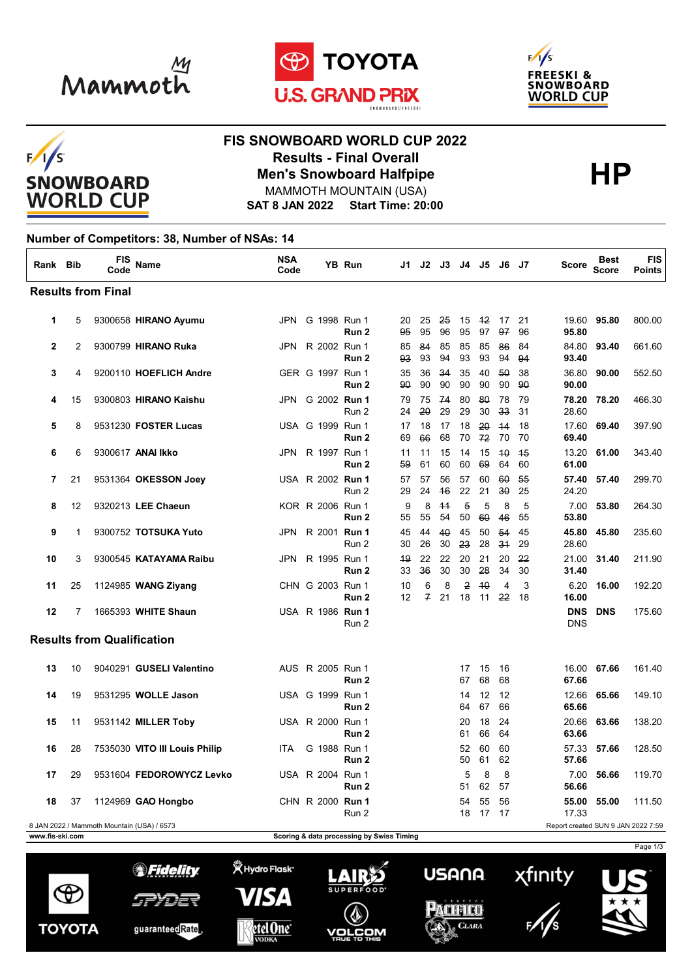







## **FIS SNOWBOARD WORLD CUP 2022 Results - Final Overall<br>
Men's Snowboard Halfpipe<br>
MAMMOTH MOUNTAIN (USA)** MAMMOTH MOUNTAIN (USA)

**SAT 8 JAN 2022 Start Time: 20:00**

## **Number of Competitors: 38, Number of NSAs: 14**

| Rank Bib                  |                | FIS<br>Code                                | <b>Name</b>                   | <b>NSA</b><br>Code |                  | YB Run           | J1                                        | J2                  | J3        | J4                   | J5         | J6       | - J7     | Score                              | <b>Best</b><br><b>Score</b> | <b>FIS</b><br><b>Points</b> |
|---------------------------|----------------|--------------------------------------------|-------------------------------|--------------------|------------------|------------------|-------------------------------------------|---------------------|-----------|----------------------|------------|----------|----------|------------------------------------|-----------------------------|-----------------------------|
| <b>Results from Final</b> |                |                                            |                               |                    |                  |                  |                                           |                     |           |                      |            |          |          |                                    |                             |                             |
| 1                         | 5              |                                            | 9300658 HIRANO Ayumu          | JPN.               | G 1998 Run 1     | Run 2            | 20<br>95                                  | 25<br>95            | -25<br>96 | 15<br>95             | $+2$<br>97 | 17<br>97 | 21<br>96 | 95.80                              | 19.60 95.80                 | 800.00                      |
| $\mathbf{2}$              | $\overline{2}$ |                                            | 9300799 HIRANO Ruka           | <b>JPN</b>         | R 2002 Run 1     | Run <sub>2</sub> | 85<br>93                                  | 84<br>93            | 85<br>94  | 85<br>93             | 85<br>93   | 86<br>94 | 84<br>94 | 84.80<br>93.40                     | 93.40                       | 661.60                      |
| 3                         | 4              |                                            | 9200110 HOEFLICH Andre        |                    | GER G 1997 Run 1 | Run <sub>2</sub> | 35<br>90                                  | 36<br>90            | 34<br>90  | 35<br>90             | 40<br>90   | 50<br>90 | 38<br>90 | 36.80<br>90.00                     | 90.00                       | 552.50                      |
| 4                         | 15             |                                            | 9300803 HIRANO Kaishu         | JPN                | G 2002 Run 1     | Run 2            | 79<br>24                                  | 75<br>20            | -74<br>29 | 80<br>29             | 80<br>30   | 78<br>33 | 79<br>31 | 78.20<br>28.60                     | 78.20                       | 466.30                      |
| 5                         | 8              |                                            | 9531230 FOSTER Lucas          |                    | USA G 1999 Run 1 | Run 2            | 17<br>69                                  | 18<br>66            | 17<br>68  | 18<br>70             | 20<br>72   | 44<br>70 | 18<br>70 | 17.60<br>69.40                     | 69.40                       | 397.90                      |
| 6                         | 6              |                                            | 9300617 ANAI Ikko             | JPN                | R 1997 Run 1     | Run 2            | 11<br>59                                  | 11<br>61            | 15<br>60  | 14<br>60             | 15<br>69   | 40<br>64 | 45<br>60 | 13.20<br>61.00                     | 61.00                       | 343.40                      |
| 7                         | 21             |                                            | 9531364 OKESSON Joey          |                    | USA R 2002 Run 1 | Run 2            | 57<br>29                                  | 57<br>24            | 56<br>46  | 57<br>22             | 60<br>21   | 60<br>30 | 55<br>25 | 57.40<br>24.20                     | 57.40                       | 299.70                      |
| 8                         | 12             |                                            | 9320213 LEE Chaeun            |                    | KOR R 2006 Run 1 | Run 2            | 9<br>55                                   | 8<br>55             | 44<br>54  | $\overline{5}$<br>50 | 5<br>60    | 8<br>46  | 5<br>55  | 7.00<br>53.80                      | 53.80                       | 264.30                      |
| 9                         | 1              |                                            | 9300752 TOTSUKA Yuto          | JPN                | R 2001 Run 1     | Run 2            | 45<br>30                                  | 44<br>26            | 40<br>30  | 45<br>23             | 50<br>28   | 54<br>34 | 45<br>29 | 45.80<br>28.60                     | 45.80                       | 235.60                      |
| 10                        | 3              |                                            | 9300545 KATAYAMA Raibu        | JPN                | R 1995 Run 1     | Run 2            | 49<br>33                                  | 22<br>36            | 22<br>30  | 20<br>30             | 21<br>28   | 20<br>34 | 22<br>30 | 21.00<br>31.40                     | 31.40                       | 211.90                      |
| 11                        | 25             |                                            | 1124985 WANG Ziyang           |                    | CHN G 2003 Run 1 | Run 2            | 10<br>12                                  | 6<br>$\overline{f}$ | 8<br>21   | $\overline{2}$<br>18 | 40<br>11   | 4<br>22  | 3<br>18  | 6.20<br>16.00                      | 16.00                       | 192.20                      |
| 12                        | 7              |                                            | 1665393 WHITE Shaun           |                    | USA R 1986 Run 1 | Run 2            |                                           |                     |           |                      |            |          |          | <b>DNS</b><br><b>DNS</b>           | <b>DNS</b>                  | 175.60                      |
|                           |                | <b>Results from Qualification</b>          |                               |                    |                  |                  |                                           |                     |           |                      |            |          |          |                                    |                             |                             |
| 13                        | 10             |                                            | 9040291 GUSELI Valentino      |                    | AUS R 2005 Run 1 | Run <sub>2</sub> |                                           |                     |           | 17<br>67             | 15<br>68   | 16<br>68 |          | 16.00<br>67.66                     | 67.66                       | 161.40                      |
| 14                        | 19             |                                            | 9531295 WOLLE Jason           |                    | USA G 1999 Run 1 | Run 2            |                                           |                     |           | 14<br>64             | 12<br>67   | 12<br>66 |          | 12.66<br>65.66                     | 65.66                       | 149.10                      |
| 15                        | 11             |                                            | 9531142 MILLER Toby           |                    | USA R 2000 Run 1 | Run 2            |                                           |                     |           | 20<br>61             | 18<br>66   | 24<br>64 |          | 20.66<br>63.66                     | 63.66                       | 138.20                      |
| 16                        | 28             |                                            | 7535030 VITO III Louis Philip | <b>ITA</b>         | G 1988 Run 1     | Run <sub>2</sub> |                                           |                     |           | 52<br>50             | 60<br>61   | 60<br>62 |          | 57.33<br>57.66                     | 57.66                       | 128.50                      |
| 17                        | 29             |                                            | 9531604 FEDOROWYCZ Levko      |                    | USA R 2004 Run 1 | Run 2            |                                           |                     |           | 5<br>51              | 8<br>62    | 8<br>57  |          | 7.00<br>56.66                      | 56.66                       | 119.70                      |
| 18                        | 37             |                                            | 1124969 GAO Hongbo            |                    | CHN R 2000 Run 1 | Run 2            |                                           |                     |           | 54<br>18             | 55<br>17   | 56<br>17 |          | 55.00<br>17.33                     | 55.00                       | 111.50                      |
| www.fis-ski.com           |                | 8 JAN 2022 / Mammoth Mountain (USA) / 6573 |                               |                    |                  |                  | Scoring & data processing by Swiss Timing |                     |           |                      |            |          |          | Report created SUN 9 JAN 2022 7:59 |                             |                             |
|                           |                |                                            |                               |                    |                  |                  |                                           |                     |           |                      |            |          |          |                                    |                             | Page 1/3                    |

**义 Hydro Flask** 

VISA

etel One<sup>®</sup>

*SFidelity* 

SPYDER

guaranteedRate

 $\Theta$ 

**TOYOTA** 





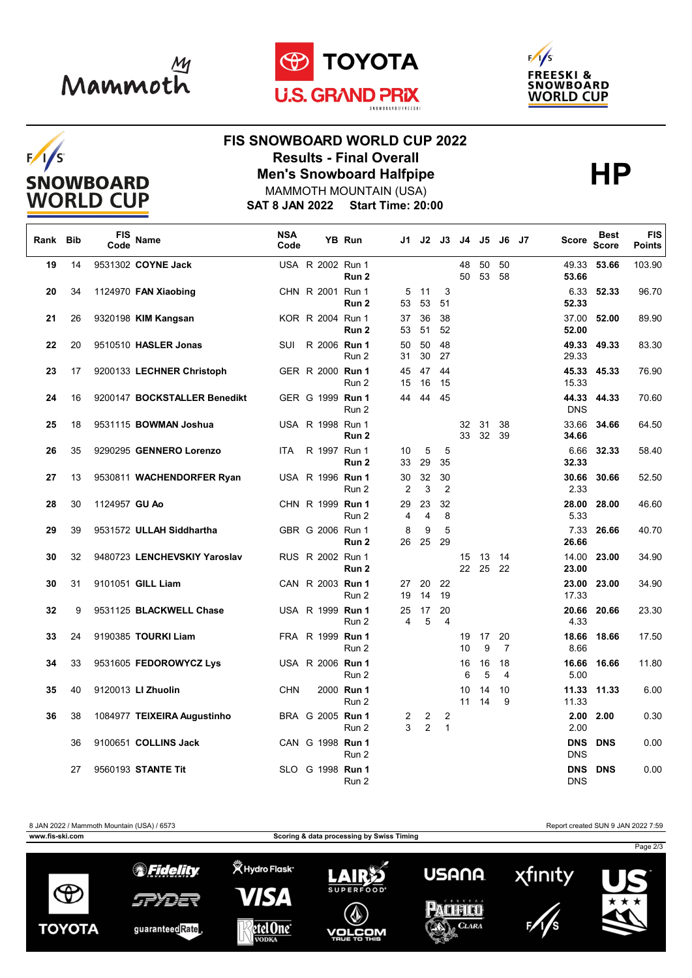

 $F/1/S$ 

**SNOWBOARD WORLD CUP** 





## **FIS SNOWBOARD WORLD CUP 2022 Results - Final Overall<br>
Men's Snowboard Halfpipe<br>
MAMMOTH MOUNTAIN (USA)**

**SAT 8 JAN 2022 Start Time: 20:00** MAMMOTH MOUNTAIN (USA)

| Rank Bib |    | FIS<br>Code   | Name                         | <b>NSA</b><br>Code |  | YB Run                    |          |                      | J1 J2 J3             |                         | J4 J5       | <b>J6</b> J7         | Score               | <b>Best</b><br><b>Score</b> | <b>FIS</b><br><b>Points</b> |
|----------|----|---------------|------------------------------|--------------------|--|---------------------------|----------|----------------------|----------------------|-------------------------|-------------|----------------------|---------------------|-----------------------------|-----------------------------|
| 19       | 14 |               | 9531302 COYNE Jack           |                    |  | USA R 2002 Run 1<br>Run 2 |          |                      |                      | 48<br>50                | 50<br>53    | 50<br>58             | 49.33<br>53.66      | 53.66                       | 103.90                      |
| 20       | 34 |               | 1124970 FAN Xiaobing         |                    |  | CHN R 2001 Run 1<br>Run 2 | 5<br>53  | 11<br>53             | 3<br>51              |                         |             |                      | 6.33<br>52.33       | 52.33                       | 96.70                       |
| 21       | 26 |               | 9320198 KIM Kangsan          |                    |  | KOR R 2004 Run 1<br>Run 2 | 37<br>53 | 36<br>51             | 38<br>52             |                         |             |                      | 52.00               | 37.00 52.00                 | 89.90                       |
| 22       | 20 |               | 9510510 HASLER Jonas         | SUI                |  | R 2006 Run 1<br>Run 2     | 50<br>31 | 50<br>30             | 48<br>27             |                         |             |                      | 29.33               | 49.33 49.33                 | 83.30                       |
| 23       | 17 |               | 9200133 LECHNER Christoph    |                    |  | GER R 2000 Run 1<br>Run 2 | 45<br>15 | 47<br>16             | 44<br>15             |                         |             |                      | 15.33               | 45.33 45.33                 | 76.90                       |
| 24       | 16 |               | 9200147 BOCKSTALLER Benedikt |                    |  | GER G 1999 Run 1<br>Run 2 | 44       | 44                   | 45                   |                         |             |                      | 44.33<br><b>DNS</b> | 44.33                       | 70.60                       |
| 25       | 18 |               | 9531115 BOWMAN Joshua        |                    |  | USA R 1998 Run 1<br>Run 2 |          |                      |                      | 32<br>33                | 31<br>32    | 38<br>39             | 33.66<br>34.66      | 34.66                       | 64.50                       |
| 26       | 35 |               | 9290295 GENNERO Lorenzo      | ITA                |  | R 1997 Run 1<br>Run 2     | 10<br>33 | 5<br>29              | 5<br>35              |                         |             |                      | 6.66<br>32.33       | 32.33                       | 58.40                       |
| 27       | 13 |               | 9530811 WACHENDORFER Ryan    |                    |  | USA R 1996 Run 1<br>Run 2 | 30<br>2  | 32<br>3              | 30<br>2              |                         |             |                      | 30.66<br>2.33       | 30.66                       | 52.50                       |
| 28       | 30 | 1124957 GU Ao |                              |                    |  | CHN R 1999 Run 1<br>Run 2 | 29<br>4  | 23<br>$\overline{4}$ | 32<br>8              |                         |             |                      | 5.33                | 28.00 28.00                 | 46.60                       |
| 29       | 39 |               | 9531572 ULLAH Siddhartha     |                    |  | GBR G 2006 Run 1<br>Run 2 | 8<br>26  | 9<br>25              | 5<br>29              |                         |             |                      | 7.33<br>26.66       | 26.66                       | 40.70                       |
| 30       | 32 |               | 9480723 LENCHEVSKIY Yaroslav |                    |  | RUS R 2002 Run 1<br>Run 2 |          |                      |                      | 15<br>$22 \overline{ }$ | 13<br>25 22 | - 14                 | 23.00               | 14.00 23.00                 | 34.90                       |
| 30       | 31 |               | 9101051 GILL Liam            |                    |  | CAN R 2003 Run 1<br>Run 2 | 27<br>19 | 20<br>14             | 22<br>19             |                         |             |                      | 23.00<br>17.33      | 23.00                       | 34.90                       |
| 32       | 9  |               | 9531125 BLACKWELL Chase      |                    |  | USA R 1999 Run 1<br>Run 2 | 25<br>4  | 17<br>5              | 20<br>$\overline{4}$ |                         |             |                      | 4.33                | 20.66 20.66                 | 23.30                       |
| 33       | 24 |               | 9190385 TOURKI Liam          |                    |  | FRA R 1999 Run 1<br>Run 2 |          |                      |                      | 19<br>10                | 17<br>9     | 20<br>$\overline{7}$ | 8.66                | 18.66 18.66                 | 17.50                       |
| 34       | 33 |               | 9531605 FEDOROWYCZ Lys       |                    |  | USA R 2006 Run 1<br>Run 2 |          |                      |                      | 16<br>6                 | 16<br>5     | 18<br>4              | 5.00                | 16.66 16.66                 | 11.80                       |
| 35       | 40 |               | 9120013 LI Zhuolin           | <b>CHN</b>         |  | 2000 Run 1<br>Run 2       |          |                      |                      | 10<br>11                | 14<br>14    | 10<br>9              | 11.33               | 11.33 11.33                 | 6.00                        |
| 36       | 38 |               | 1084977 TEIXEIRA Augustinho  |                    |  | BRA G 2005 Run 1<br>Run 2 | 2<br>3   | 2<br>2               | 2<br>$\mathbf{1}$    |                         |             |                      | 2.00                | $2.00$ $2.00$               | 0.30                        |
|          | 36 |               | 9100651 COLLINS Jack         |                    |  | CAN G 1998 Run 1<br>Run 2 |          |                      |                      |                         |             |                      | <b>DNS</b>          | <b>DNS DNS</b>              | 0.00                        |
|          | 27 |               | 9560193 STANTE Tit           |                    |  | SLO G 1998 Run 1<br>Run 2 |          |                      |                      |                         |             |                      | <b>DNS</b>          | <b>DNS DNS</b>              | 0.00                        |